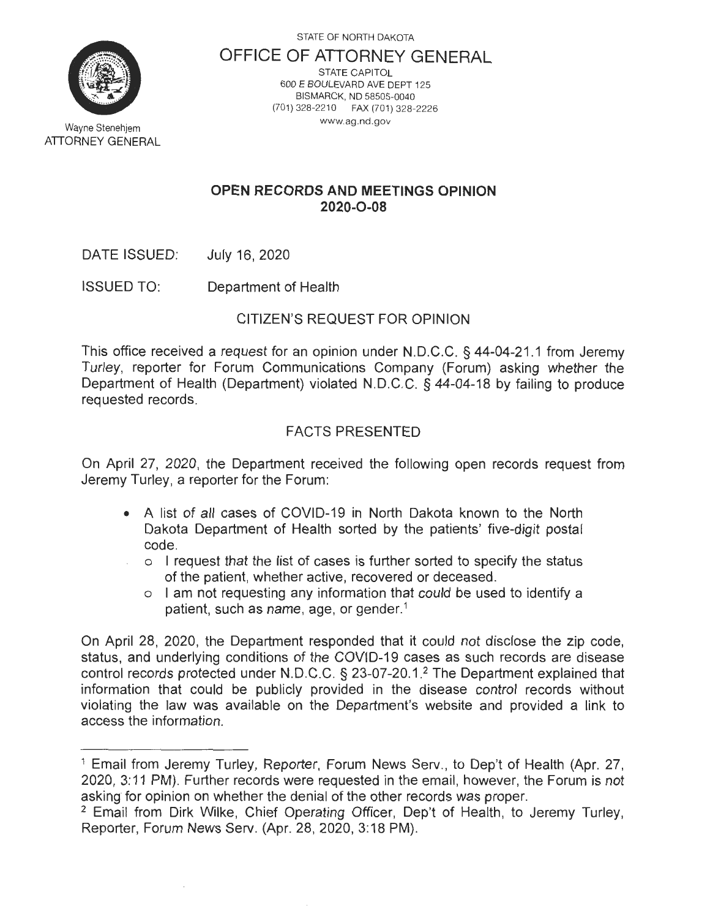STATE OF NORTH DAKOTA



Wayne Stenehjem ATTORNEY GENERAL

#### **OFFICE OF ATTORNEY GENERAL**  STATE CAPITOL 600 E BOULEVARD AVE DEPT 125 BISMARCK, ND 58505-0040 (701) 328-2210 FAX (701 ) 328-2226 www.ag.nd.gov

### **OPEN RECORDS AND MEETINGS OPINION 2020-0-08**

DATE ISSUED: July 16, 2020

ISSUED TO: Department of Health

## CITIZEN'S REQUEST FOR OPINION

This office received a request for an opinion under N.D.C.C. § 44-04-21.1 from Jeremy Turley, reporter for Forum Communications Company (Forum) asking whether the Department of Health (Department) violated N.D.C.C. § 44-04-18 by failing to produce requested records.

# FACTS PRESENTED

On April 27, 2020, the Department received the following open records request from Jeremy Turley, a reporter for the Forum:

- A list of all cases of COVID-19 in North Dakota known to the North Dakota Department of Health sorted by the patients' five-digit postal code.
	- o I request that the list of cases is further sorted to specify the status of the patient, whether active, recovered or deceased.
		- o I am not requesting any information that could be used to identify a patient, such as name, age, or gender. 1

On April 28, 2020, the Department responded that it could not disclose the zip code, status, and underlying conditions of the COVID-19 cases as such records are disease control records protected under N.D.C.C. § 23-07-20.1. 2 The Department explained that information that could be publicly provided in the disease control records without violating the law was available on the Department's website and provided a link to access the information.

<sup>&</sup>lt;sup>1</sup> Email from Jeremy Turley, Reporter, Forum News Serv., to Dep't of Health (Apr. 27, 2020, 3:11 PM). Further records were requested in the email, however, the Forum is not asking for opinion on whether the denial of the other records was proper.<br><sup>2</sup> Email from Dirk Wilke, Chief Operating Officer, Dep't of Health, to Jeremy Turley,

Reporter, Forum News Serv. (Apr. 28, 2020, 3: 18 PM).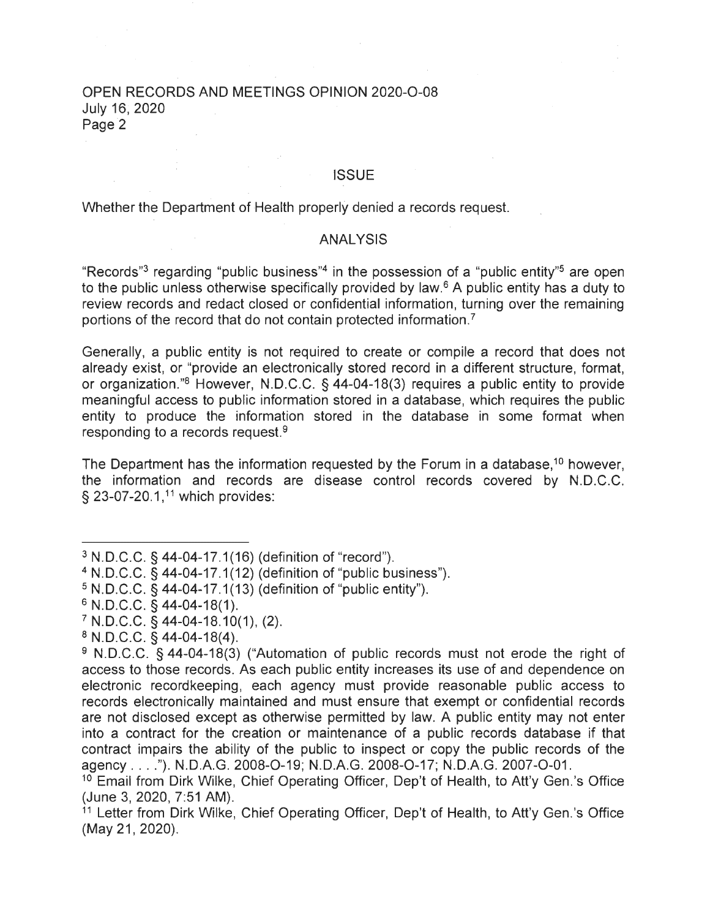#### OPEN RECORDS AND MEETINGS OPINION 2020-0-08 July 16, 2020 Page<sup>2</sup>

#### **ISSUE**

Whether the Department of Health properly denied a records request.

#### **ANALYSIS**

"Records"<sup>3</sup> regarding "public business"<sup>4</sup> in the possession of a "public entity"<sup>5</sup> are open to the public unless otherwise specifically provided by law. 6 A public entity has a duty to review records and redact closed or confidential information, turning over the remaining portions of the record that do not contain protected information. <sup>7</sup>

Generally, a public entity is not required to create or compile a record that does not already exist, or "provide an electronically stored record in a different structure, format, or organization ."8 However, N.D.C.C. § 44-04-18(3) requires a public entity to provide meaningful access to public information stored in a database, which requires the public entity to produce the information stored in the database in some format when responding to a records request.<sup>9</sup>

The Department has the information requested by the Forum in a database,<sup>10</sup> however, the information and records are disease control records covered by N.D.C.C. § 23-07-20.1,<sup>11</sup> which provides:

<sup>3</sup> N.D.C.C. § 44-04-17.1(16) (definition of "record ").

 $4$  N.D.C.C.  $\tilde{S}$  44-04-17.1(12) (definition of "public business").

 $5 N.D.C.C. § 44-04-17.1(13)$  (definition of "public entity").

 $6$  N.D.C.C. § 44-04-18(1).<br><sup>7</sup> N.D.C.C. § 44-04-18.10(1), (2).

<sup>&</sup>lt;sup>8</sup> N.D.C.C. § 44-04-18(4).<br><sup>9</sup> N.D.C.C. § 44-04-18(3) ("Automation of public records must not erode the right of access to those records. As each public entity increases its use of and dependence on electronic recordkeeping, each agency must provide reasonable public access to records electronically maintained and must ensure that exempt or confidential records are not disclosed except as otherwise permitted by law. A public entity may not enter into a contract for the creation or maintenance of a public records database if that contract impairs the ability of the public to inspect or copy the public records of the agency .... "). N.D.A.G. 2008-0-19; N.D.A.G. 2008-0-17; N.D.A.G. 2007-0-01.

<sup>&</sup>lt;sup>10</sup> Email from Dirk Wilke, Chief Operating Officer, Dep't of Health, to Att'y Gen.'s Office (June 3, 2020, 7:51 AM).

<sup>&</sup>lt;sup>11</sup> Letter from Dirk Wilke, Chief Operating Officer, Dep't of Health, to Att'y Gen.'s Office (May 21, 2020).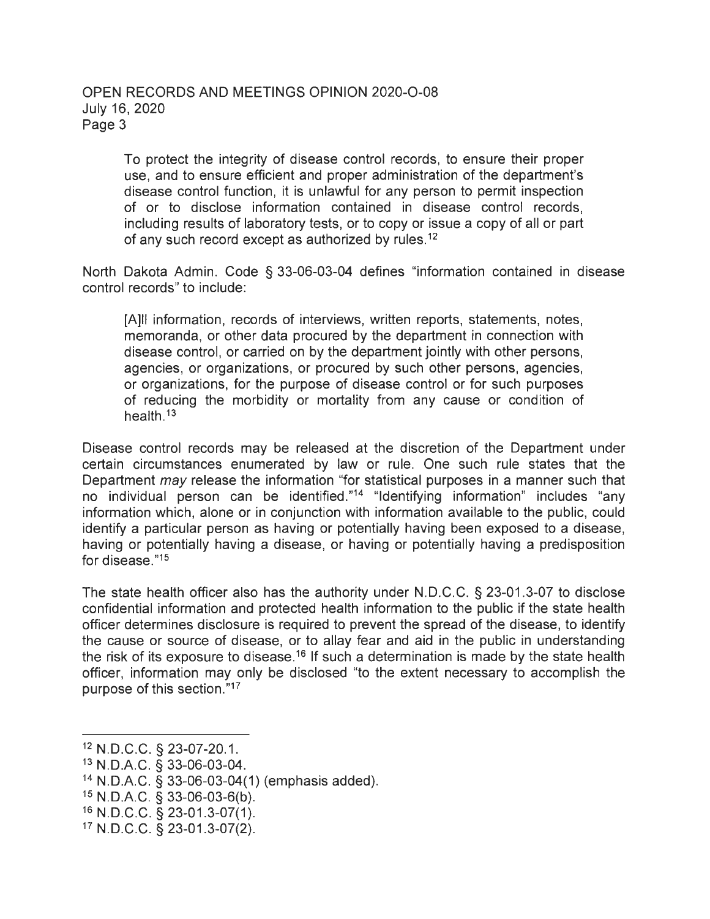### OPEN RECORDS AND MEETINGS OPINION 2020-O-08 July 16, 2020 Page 3

To protect the integrity of disease control records, to ensure their proper use, and to ensure efficient and proper administration of the department's disease control function, it is unlawful for any person to permit inspection of or to disclose information contained in disease control records , including results of laboratory tests, or to copy or issue a copy of all or part of any such record except as authorized by rules.<sup>12</sup>

North Dakota Admin. Code § 33-06-03-04 defines "information contained in disease control records" to include:

[A]II information, records of interviews, written reports, statements, notes, memoranda, or other data procured by the department in connection with disease control, or carried on by the department jointly with other persons, agencies, or organizations, or procured by such other persons, agencies, or organizations, for the purpose of disease control or for such purposes of reducing the morbidity or mortality from any cause or condition of health. 13

Disease control records may be released at the discretion of the Department under certain circumstances enumerated by law or rule. One such rule states that the Department may release the information "for statistical purposes in a manner such that no individual person can be identified."14 "Identifying information" includes "any information which, alone or in conjunction with information available to the public, could identify a particular person as having or potentially having been exposed to a disease, having or potentially having a disease, or having or potentially having a predisposition for disease."<sup>15</sup>

The state health officer also has the authority under N.D.C.C. § 23-01.3-07 to disclose confidential information and protected health information to the public if the state health officer determines disclosure is required to prevent the spread of the disease, to identify the cause or source of disease, or to allay fear and aid in the public in understanding the risk of its exposure to disease.<sup>16</sup> If such a determination is made by the state health officer, information may only be disclosed "to the extent necessary to accomplish the purpose of this section." 17

<sup>12</sup> N.D.C.C. § 23-07-20.1. 13 N.D.A.C. § 33-06-03-04.

<sup>14</sup>N.D.A.C. § 33-06-03-04(1 ) (emphasis added).

<sup>15</sup> N.D.A.C. § 33-06-03-6(b).<br><sup>16</sup> N.D.C.C. § 23-01.3-07(1).

 $17$  N.D.C.C. § 23-01.3-07(2).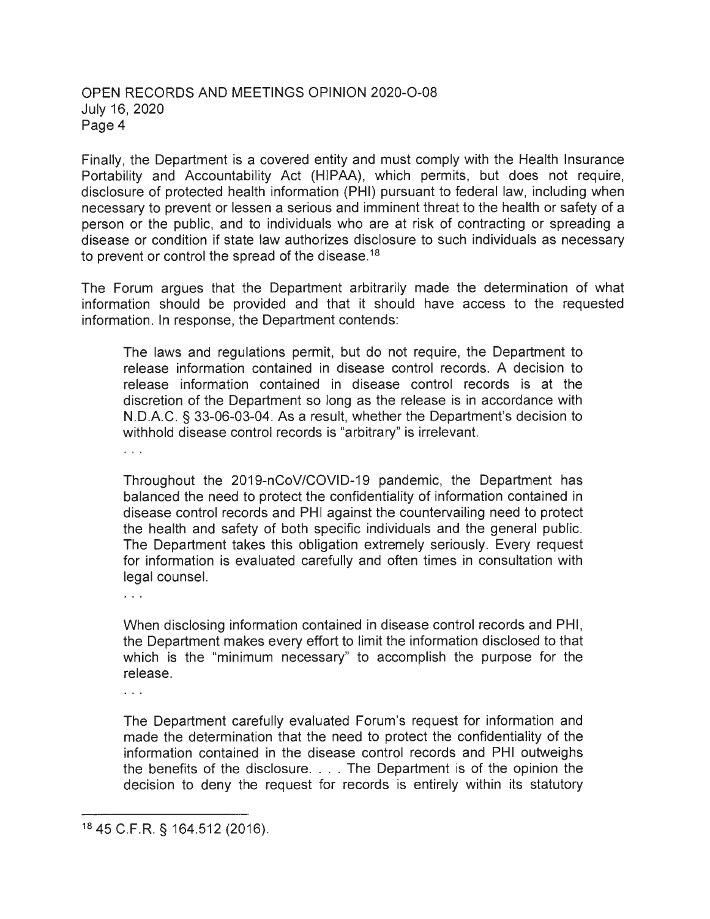### OPEN RECORDS AND MEETINGS OPINION 2020-0-08 July 16, 2020 Page 4

Finally, the Department is a covered entity and must comply with the Health Insurance Portability and Accountability Act (HIPAA), which permits, but does not require, disclosure of protected health information (PHI) pursuant to federal law, including when necessary to prevent or lessen a serious and imminent threat to the health or safety of a person or the public, and to individuals who are at risk of contracting or spreading a disease or condition if state law authorizes disclosure to such individuals as necessary to prevent or control the spread of the disease.<sup>18</sup>

The Forum argues that the Department arbitrarily made the determination of what information should be provided and that it should have access to the requested information. In response, the Department contends:

The laws and regulations permit, but do not require, the Department to release information contained in disease control records. A decision to release information contained in disease control records is at the discretion of the Department so long as the release is in accordance with N.D.A.C. § 33-06-03-04. As a result, whether the Department's decision to withhold disease control records is "arbitrary" is irrelevant.

 $\ldots$ 

Throughout the 2019-nCoV/COVID-19 pandemic, the Department has balanced the need to protect the confidentiality of information contained in disease control records and PHI against the countervailing need to protect the health and safety of both specific individuals and the general public. The Department takes this obligation extremely seriously. Every request for information is evaluated carefully and often times in consultation with legal counsel.

 $\ddotsc$ 

When disclosing information contained in disease control records and PHI, the Department makes every effort to limit the information disclosed to that which is the "minimum necessary" to accomplish the purpose for the release.

 $\ldots$ 

The Department carefully evaluated Forum's request for information and made the determination that the need to protect the confidentiality of the information contained in the disease control records and PHI outweighs the benefits of the disclosure .... The Department is of the opinion the decision to deny the request for records is entirely within its statutory

<sup>18</sup>45 C.F.R. § 164.512 (2016).